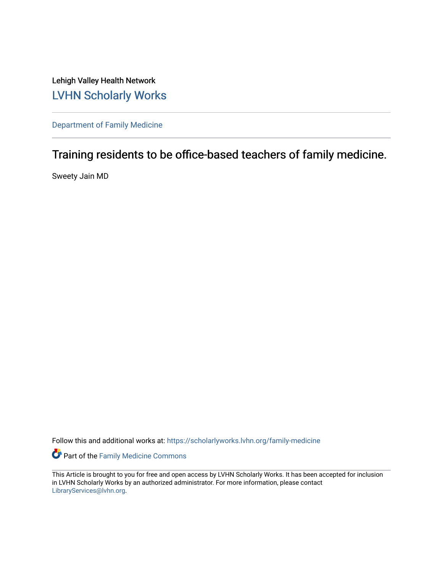Lehigh Valley Health Network [LVHN Scholarly Works](https://scholarlyworks.lvhn.org/)

[Department of Family Medicine](https://scholarlyworks.lvhn.org/family-medicine) 

## Training residents to be office-based teachers of family medicine.

Sweety Jain MD

Follow this and additional works at: [https://scholarlyworks.lvhn.org/family-medicine](https://scholarlyworks.lvhn.org/family-medicine?utm_source=scholarlyworks.lvhn.org%2Ffamily-medicine%2F752&utm_medium=PDF&utm_campaign=PDFCoverPages) 

Part of the [Family Medicine Commons](http://network.bepress.com/hgg/discipline/1354?utm_source=scholarlyworks.lvhn.org%2Ffamily-medicine%2F752&utm_medium=PDF&utm_campaign=PDFCoverPages) 

This Article is brought to you for free and open access by LVHN Scholarly Works. It has been accepted for inclusion in LVHN Scholarly Works by an authorized administrator. For more information, please contact [LibraryServices@lvhn.org](mailto:LibraryServices@lvhn.org).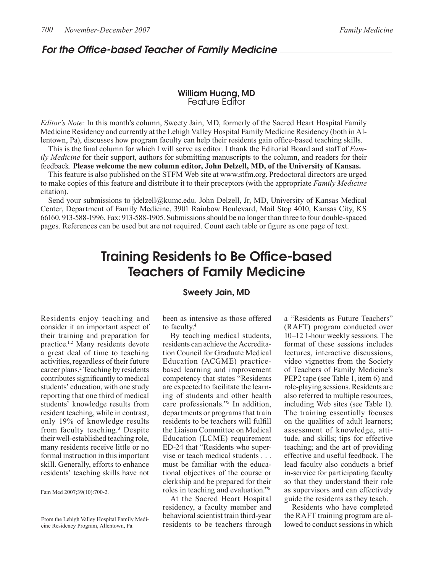### For the Office-based Teacher of Family Medicine

### William Huang, MD Feature Editor

*Editor's Note:* In this month's column, Sweety Jain, MD, formerly of the Sacred Heart Hospital Family Medicine Residency and currently at the Lehigh Valley Hospital Family Medicine Residency (both in Allentown, Pa), discusses how program faculty can help their residents gain office-based teaching skills.

This is the final column for which I will serve as editor. I thank the Editorial Board and staff of *Family Medicine* for their support, authors for submitting manuscripts to the column, and readers for their feedback. **Please welcome the new column editor, John Delzell, MD, of the University of Kansas.**

This feature is also published on the STFM Web site at www.stfm.org. Predoctoral directors are urged to make copies of this feature and distribute it to their preceptors (with the appropriate *Family Medicine* citation).

Send your submissions to jdelzell@kumc.edu. John Delzell, Jr, MD, University of Kansas Medical Center, Department of Family Medicine, 3901 Rainbow Boulevard, Mail Stop 4010, Kansas City, KS 66160. 913-588-1996. Fax: 913-588-1905. Submissions should be no longer than three to four double-spaced pages. References can be used but are not required. Count each table or figure as one page of text.

# Training Residents to Be Office-based Teachers of Family Medicine

# Sweety Jain, MD

Residents enjoy teaching and consider it an important aspect of their training and preparation for practice.1,2 Many residents devote a great deal of time to teaching activities, regardless of their future career plans.2 Teaching by residents contributes significantly to medical students' education, with one study reporting that one third of medical students' knowledge results from resident teaching, while in contrast, only 19% of knowledge results from faculty teaching.<sup>3</sup> Despite their well-established teaching role, many residents receive little or no formal instruction in this important skill. Generally, efforts to enhance residents' teaching skills have not

Fam Med 2007;39(10):700-2.

been as intensive as those offered to faculty.4

By teaching medical students, residents can achieve the Accreditation Council for Graduate Medical Education (ACGME) practicebased learning and improvement competency that states "Residents are expected to facilitate the learning of students and other health care professionals."5 In addition, departments or programs that train residents to be teachers will fulfill the Liaison Committee on Medical Education (LCME) requirement ED-24 that "Residents who supervise or teach medical students . . . must be familiar with the educational objectives of the course or clerkship and be prepared for their roles in teaching and evaluation."6

At the Sacred Heart Hospital residency, a faculty member and behavioral scientist train third-year residents to be teachers through

a "Residents as Future Teachers" (RAFT) program conducted over 10–12 1-hour weekly sessions. The format of these sessions includes lectures, interactive discussions, video vignettes from the Society of Teachers of Family Medicine's PEP2 tape (see Table 1, item 6) and role-playing sessions. Residents are also referred to multiple resources, including Web sites (see Table 1). The training essentially focuses on the qualities of adult learners; assessment of knowledge, attitude, and skills; tips for effective teaching; and the art of providing effective and useful feedback. The lead faculty also conducts a brief in-service for participating faculty so that they understand their role as supervisors and can effectively guide the residents as they teach.

Residents who have completed the RAFT training program are allowed to conduct sessions in which

From the Lehigh Valley Hospital Family Medicine Residency Program, Allentown, Pa.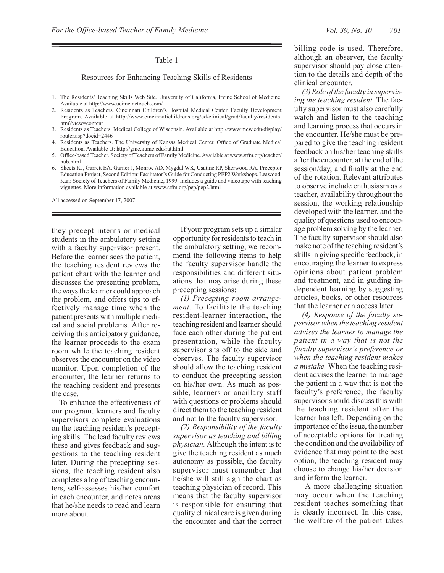### Table 1

### Resources for Enhancing Teaching Skills of Residents

- 1. The Residents' Teaching Skills Web Site. University of California, Irvine School of Medicine. Available at http://www.ucimc.netouch.com/
- 2. Residents as Teachers. Cincinnati Children's Hospital Medical Center. Faculty Development Program. Available at http://www.cincinnatichildrens.org/ed/clinical/grad/faculty/residents. htm?view=content
- 3. Residents as Teachers. Medical College of Wisconsin. Available at http://www.mcw.edu/display/ router.asp?docid=2446
- 4. Residents as Teachers. The University of Kansas Medical Center. Office of Graduate Medical Education. Available at: http://gme.kumc.edu/rat.html
- 5. Office-based Teacher. Society of Teachers of Family Medicine. Available at www.stfm.org/teacher/ hub.html
- 6. Sheets KJ, Garrett EA, Garner J, Monroe AD, Mygdal WK, Usatine RP, Sherwood RA. Preceptor Education Project, Second Edition: Facilitator's Guide for Conducting PEP2 Workshops. Leawood, Kan: Society of Teachers of Family Medicine, 1999. Includes a guide and videotape with teaching vignettes. More information available at www.stfm.org/pep/pep2.html

All accessed on September 17, 2007

they precept interns or medical students in the ambulatory setting with a faculty supervisor present. Before the learner sees the patient, the teaching resident reviews the patient chart with the learner and discusses the presenting problem, the ways the learner could approach the problem, and offers tips to effectively manage time when the patient presents with multiple medical and social problems. After receiving this anticipatory guidance, the learner proceeds to the exam room while the teaching resident observes the encounter on the video monitor. Upon completion of the encounter, the learner returns to the teaching resident and presents the case.

To enhance the effectiveness of our program, learners and faculty supervisors complete evaluations on the teaching resident's precepting skills. The lead faculty reviews these and gives feedback and suggestions to the teaching resident later. During the precepting sessions, the teaching resident also completes a log of teaching encounters, self-assesses his/her comfort in each encounter, and notes areas that he/she needs to read and learn more about.

If your program sets up a similar opportunity for residents to teach in the ambulatory setting, we recommend the following items to help the faculty supervisor handle the responsibilities and different situations that may arise during these precepting sessions:

*(1) Precepting room arrangement.* To facilitate the teaching resident-learner interaction, the teaching resident and learner should face each other during the patient presentation, while the faculty supervisor sits off to the side and observes. The faculty supervisor should allow the teaching resident to conduct the precepting session on his/her own. As much as possible, learners or ancillary staff with questions or problems should direct them to the teaching resident and not to the faculty supervisor.

*(2) Responsibility of the faculty supervisor as teaching and billing physician.* Although the intent is to give the teaching resident as much autonomy as possible, the faculty supervisor must remember that he/she will still sign the chart as teaching physician of record. This means that the faculty supervisor is responsible for ensuring that quality clinical care is given during the encounter and that the correct

billing code is used. Therefore, although an observer, the faculty supervisor should pay close attention to the details and depth of the clinical encounter.

*(3) Role of the faculty in supervising the teaching resident.* The faculty supervisor must also carefully watch and listen to the teaching and learning process that occurs in the encounter. He/she must be prepared to give the teaching resident feedback on his/her teaching skills after the encounter, at the end of the session/day, and finally at the end of the rotation. Relevant attributes to observe include enthusiasm as a teacher, availability throughout the session, the working relationship developed with the learner, and the quality of questions used to encourage problem solving by the learner. The faculty supervisor should also make note of the teaching resident's skills in giving specific feedback, in encouraging the learner to express opinions about patient problem and treatment, and in guiding independent learning by suggesting articles, books, or other resources that the learner can access later.

*(4) Response of the faculty supervisor when the teaching resident advises the learner to manage the patient in a way that is not the faculty supervisor's preference or when the teaching resident makes a mistake.* When the teaching resident advises the learner to manage the patient in a way that is not the faculty's preference, the faculty supervisor should discuss this with the teaching resident after the learner has left. Depending on the importance of the issue, the number of acceptable options for treating the condition and the availability of evidence that may point to the best option, the teaching resident may choose to change his/her decision and inform the learner.

 A more challenging situation may occur when the teaching resident teaches something that is clearly incorrect. In this case, the welfare of the patient takes